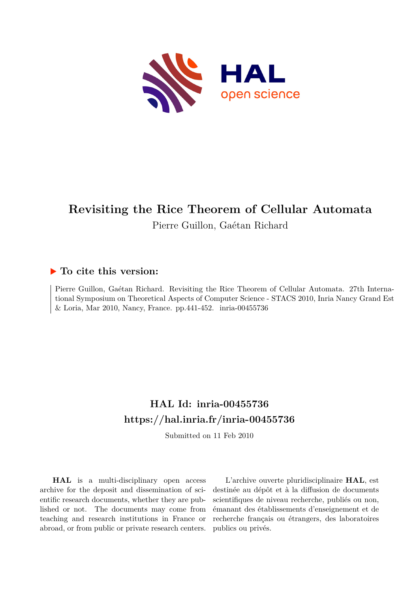

# **Revisiting the Rice Theorem of Cellular Automata** Pierre Guillon, Gaétan Richard

# **To cite this version:**

Pierre Guillon, Gaétan Richard. Revisiting the Rice Theorem of Cellular Automata. 27th International Symposium on Theoretical Aspects of Computer Science - STACS 2010, Inria Nancy Grand Est  $&$  Loria, Mar 2010, Nancy, France. pp. 441-452. inria-00455736

# **HAL Id: inria-00455736 <https://hal.inria.fr/inria-00455736>**

Submitted on 11 Feb 2010

**HAL** is a multi-disciplinary open access archive for the deposit and dissemination of scientific research documents, whether they are published or not. The documents may come from teaching and research institutions in France or abroad, or from public or private research centers.

L'archive ouverte pluridisciplinaire **HAL**, est destinée au dépôt et à la diffusion de documents scientifiques de niveau recherche, publiés ou non, émanant des établissements d'enseignement et de recherche français ou étrangers, des laboratoires publics ou privés.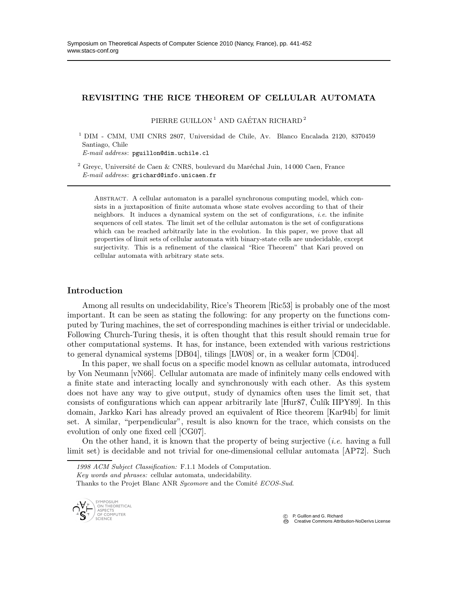## REVISITING THE RICE THEOREM OF CELLULAR AUTOMATA

PIERRE GUILLON<sup>1</sup> AND GAÉTAN RICHARD<sup>2</sup>

<sup>1</sup> DIM - CMM, UMI CNRS 2807, Universidad de Chile, Av. Blanco Encalada 2120, 8370459 Santiago, Chile

*E-mail address*: pguillon@dim.uchile.cl

 $^2$  Greyc, Université de Caen & CNRS, boulevard du Maréchal Juin, 14 000 Caen, France *E-mail address*: grichard@info.unicaen.fr

Abstract. A cellular automaton is a parallel synchronous computing model, which consists in a juxtaposition of finite automata whose state evolves according to that of their neighbors. It induces a dynamical system on the set of configurations, *i.e.* the infinite sequences of cell states. The limit set of the cellular automaton is the set of configurations which can be reached arbitrarily late in the evolution. In this paper, we prove that all properties of limit sets of cellular automata with binary-state cells are undecidable, except surjectivity. This is a refinement of the classical "Rice Theorem" that Kari proved on cellular automata with arbitrary state sets.

### Introduction

Among all results on undecidability, Rice's Theorem [Ric53] is probably one of the most important. It can be seen as stating the following: for any property on the functions computed by Turing machines, the set of corresponding machines is either trivial or undecidable. Following Church-Turing thesis, it is often thought that this result should remain true for other computational systems. It has, for instance, been extended with various restrictions to general dynamical systems [DB04], tilings [LW08] or, in a weaker form [CD04].

In this paper, we shall focus on a specific model known as cellular automata, introduced by Von Neumann [vN66]. Cellular automata are made of infinitely many cells endowed with a finite state and interacting locally and synchronously with each other. As this system does not have any way to give output, study of dynamics often uses the limit set, that consists of configurations which can appear arbitrarily late  $[Hur87, Culik IIPY89]$ . In this domain, Jarkko Kari has already proved an equivalent of Rice theorem [Kar94b] for limit set. A similar, "perpendicular", result is also known for the trace, which consists on the evolution of only one fixed cell [CG07].

On the other hand, it is known that the property of being surjective (*i.e.* having a full limit set) is decidable and not trivial for one-dimensional cellular automata [AP72]. Such

*Key words and phrases:* cellular automata, undecidability.

Thanks to the Projet Blanc ANR *Sycomore* and the Comité *ECOS-Sud*.



 c P. Guillon and G. Richard Creative Commons Attribution-NoDerivs License

*<sup>1998</sup> ACM Subject Classification:* F.1.1 Models of Computation.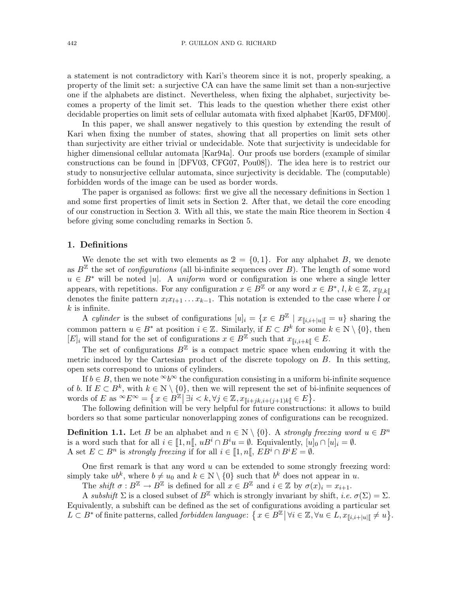a statement is not contradictory with Kari's theorem since it is not, properly speaking, a property of the limit set: a surjective CA can have the same limit set than a non-surjective one if the alphabets are distinct. Nevertheless, when fixing the alphabet, surjectivity becomes a property of the limit set. This leads to the question whether there exist other decidable properties on limit sets of cellular automata with fixed alphabet [Kar05, DFM00].

In this paper, we shall answer negatively to this question by extending the result of Kari when fixing the number of states, showing that all properties on limit sets other than surjectivity are either trivial or undecidable. Note that surjectivity is undecidable for higher dimensional cellular automata [Kar94a]. Our proofs use borders (example of similar constructions can be found in [DFV03, CFG07, Pou08]). The idea here is to restrict our study to nonsurjective cellular automata, since surjectivity is decidable. The (computable) forbidden words of the image can be used as border words.

The paper is organised as follows: first we give all the necessary definitions in Section 1 and some first properties of limit sets in Section 2. After that, we detail the core encoding of our construction in Section 3. With all this, we state the main Rice theorem in Section 4 before giving some concluding remarks in Section 5.

#### 1. Definitions

We denote the set with two elements as  $2 = \{0, 1\}$ . For any alphabet B, we denote as  $B<sup>\mathbb{Z}</sup>$  the set of *configurations* (all bi-infinite sequences over B). The length of some word  $u \in B^*$  will be noted |u|. A *uniform* word or configuration is one where a single letter appears, with repetitions. For any configuration  $x \in B^{\mathbb{Z}}$  or any word  $x \in B^*$ ,  $l, k \in \mathbb{Z}$ ,  $x_{\llbracket l, k \rrbracket}$ denotes the finite pattern  $x_l x_{l+1} \ldots x_{k-1}$ . This notation is extended to the case where  $\overline{l}$  or  $k$  is infinite.

A *cylinder* is the subset of configurations  $[u]_i = \{x \in B^{\mathbb{Z}} \mid x_{\llbracket i,i+\mid u \mid \llbracket} = u\}$  sharing the common pattern  $u \in B^*$  at position  $i \in \mathbb{Z}$ . Similarly, if  $E \subset B^k$  for some  $k \in \mathbb{N} \setminus \{0\}$ , then  $[E]_i$  will stand for the set of configurations  $x \in B^{\mathbb{Z}}$  such that  $x_{\llbracket i,i+k \rrbracket} \in E$ .

The set of configurations  $B^{\mathbb{Z}}$  is a compact metric space when endowing it with the metric induced by the Cartesian product of the discrete topology on  $B$ . In this setting, open sets correspond to unions of cylinders.

If  $b \in B$ , then we note  $\infty b^{\infty}$  the configuration consisting in a uniform bi-infinite sequence of b. If  $E \subset B^k$ , with  $k \in \mathbb{N} \setminus \{0\}$ , then we will represent the set of bi-infinite sequences of words of E as  ${}^{\infty}E^{\infty} = \left\{ x \in B^{\mathbb{Z}} \middle| \exists i \lt k, \forall j \in \mathbb{Z}, x_{\llbracket i + jk, i + (j+1)k \rrbracket} \in E \right\}.$ 

The following definition will be very helpful for future constructions: it allows to build borders so that some particular nonoverlapping zones of configurations can be recognized.

**Definition 1.1.** Let B be an alphabet and  $n \in \mathbb{N} \setminus \{0\}$ . A *strongly freezing word*  $u \in B^n$ is a word such that for all  $i \in [1, n], uB^i \cap B^i u = \emptyset$ . Equivalently,  $[u]_0 \cap [u]_i = \emptyset$ . A set  $E \subset B^n$  is *strongly freezing* if for all  $i \in [1, n[, EB^i \cap B^iE = \emptyset$ .

One first remark is that any word  $u$  can be extended to some strongly freezing word: simply take  $ub^k$ , where  $b \neq u_0$  and  $k \in \mathbb{N} \setminus \{0\}$  such that  $b^k$  does not appear in u.

The *shift*  $\sigma : B^{\mathbb{Z}} \to B^{\mathbb{Z}}$  is defined for all  $x \in B^{\mathbb{Z}}$  and  $i \in \mathbb{Z}$  by  $\sigma(x)_{i} = x_{i+1}$ .

A *subshift*  $\Sigma$  is a closed subset of  $B^{\mathbb{Z}}$  which is strongly invariant by shift, *i.e.*  $\sigma(\Sigma) = \Sigma$ . Equivalently, a subshift can be defined as the set of configurations avoiding a particular set  $L \subset B^*$  of finite patterns, called *forbidden language*:  $\{x \in B^{\mathbb{Z}} \mid \forall i \in \mathbb{Z}, \forall u \in L, x_{\llbracket i,i+\mid u \mid \llbracket} \neq u\}.$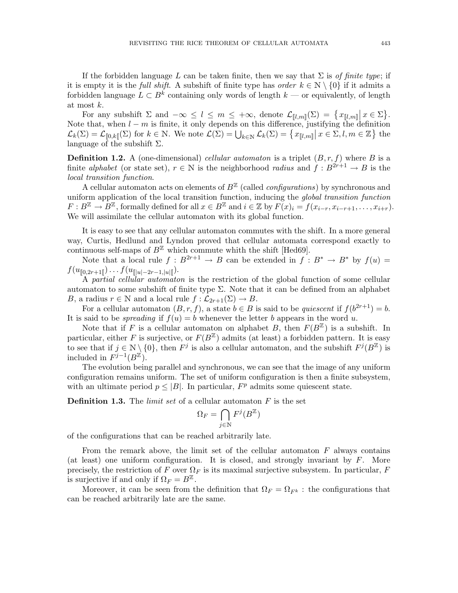If the forbidden language L can be taken finite, then we say that  $\Sigma$  is *of finite type*; if it is empty it is the *full shift*. A subshift of finite type has *order*  $k \in \mathbb{N} \setminus \{0\}$  if it admits a forbidden language  $L \subset B^k$  containing only words of length  $k$  — or equivalently, of length at most k.

For any subshift  $\Sigma$  and  $-\infty \leq l \leq m \leq +\infty$ , denote  $\mathcal{L}_{[l,m]}(\Sigma) = \{x_{[l,m]} | x \in \Sigma\}.$ Note that, when  $l - m$  is finite, it only depends on this difference, justifying the definition  $\mathcal{L}_k(\Sigma) = \mathcal{L}_{\llbracket 0,k\rrbracket}(\Sigma)$  for  $k \in \mathbb{N}$ . We note  $\mathcal{L}(\Sigma) = \bigcup_{k \in \mathbb{N}} \mathcal{L}_k(\Sigma) = \{x_{\llbracket l,m\rrbracket} \mid x \in \Sigma, l,m \in \mathbb{Z}\}\)$  the language of the subshift  $\Sigma$ .

**Definition 1.2.** A (one-dimensional) *cellular automaton* is a triplet  $(B, r, f)$  where B is a finite *alphabet* (or state set),  $r \in \mathbb{N}$  is the neighborhood *radius* and  $\hat{f}: B^{2r+1} \to B$  is the *local transition function*.

A cellular automaton acts on elements of  $B<sup>\mathbb{Z}</sup>$  (called *configurations*) by synchronous and uniform application of the local transition function, inducing the *global transition function*  $F: B^{\mathbb{Z}} \to B^{\mathbb{Z}}$ , formally defined for all  $x \in B^{\mathbb{Z}}$  and  $i \in \mathbb{Z}$  by  $F(x)_i = f(x_{i-r}, x_{i-r+1}, \ldots, x_{i+r})$ . We will assimilate the cellular automaton with its global function.

It is easy to see that any cellular automaton commutes with the shift. In a more general way, Curtis, Hedlund and Lyndon proved that cellular automata correspond exactly to continuous self-maps of  $B^{\mathbb{Z}}$  which commute whith the shift [Hed69].

Note that a local rule  $f : B^{2r+1} \to B$  can be extended in  $f : B^* \to B^*$  by  $f(u) =$  $f(u_{\llbracket 0, 2r+1 \rrbracket}) \ldots f(u_{\llbracket |u| - 2r-1, |u| \llbracket}).$ 

A *partial cellular automaton* is the restriction of the global function of some cellular automaton to some subshift of finite type  $\Sigma$ . Note that it can be defined from an alphabet B, a radius  $r \in \mathbb{N}$  and a local rule  $f : \mathcal{L}_{2r+1}(\Sigma) \to B$ .

For a cellular automaton  $(B, r, f)$ , a state  $b \in B$  is said to be *quiescent* if  $f(b^{2r+1}) = b$ . It is said to be *spreading* if  $f(u) = b$  whenever the letter b appears in the word u.

Note that if F is a cellular automaton on alphabet B, then  $F(B^{\mathbb{Z}})$  is a subshift. In particular, either F is surjective, or  $F(B^{\mathbb{Z}})$  admits (at least) a forbidden pattern. It is easy to see that if  $j \in \mathbb{N} \setminus \{0\}$ , then  $F^j$  is also a cellular automaton, and the subshift  $F^j(B^{\mathbb{Z}})$  is included in  $F^{j-1}(B^{\mathbb{Z}})$ .

The evolution being parallel and synchronous, we can see that the image of any uniform configuration remains uniform. The set of uniform configuration is then a finite subsystem, with an ultimate period  $p \leq |B|$ . In particular,  $F<sup>p</sup>$  admits some quiescent state.

Definition 1.3. The *limit set* of a cellular automaton F is the set

$$
\Omega_F=\bigcap_{j\in\mathbb{N}}F^j(B^\mathbb{Z})
$$

of the configurations that can be reached arbitrarily late.

From the remark above, the limit set of the cellular automaton  $F$  always contains (at least) one uniform configuration. It is closed, and strongly invariant by  $F$ . More precisely, the restriction of F over  $\Omega_F$  is its maximal surjective subsystem. In particular, F is surjective if and only if  $\Omega_F = B^{\mathbb{Z}}$ .

Moreover, it can be seen from the definition that  $\Omega_F = \Omega_{F^k}$ : the configurations that can be reached arbitrarily late are the same.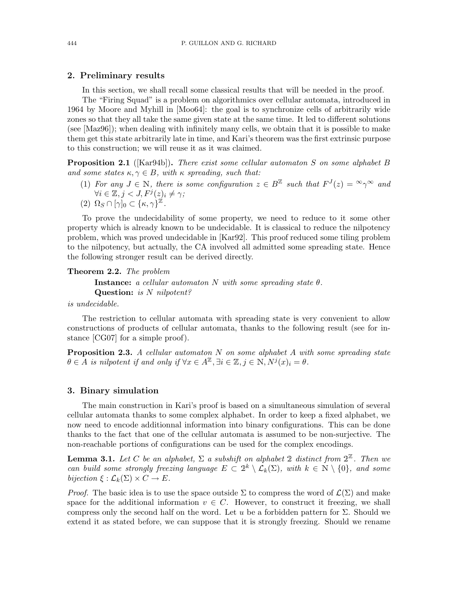#### 2. Preliminary results

In this section, we shall recall some classical results that will be needed in the proof.

The "Firing Squad" is a problem on algorithmics over cellular automata, introduced in 1964 by Moore and Myhill in [Moo64]: the goal is to synchronize cells of arbitrarily wide zones so that they all take the same given state at the same time. It led to different solutions (see [Maz96]); when dealing with infinitely many cells, we obtain that it is possible to make them get this state arbitrarily late in time, and Kari's theorem was the first extrinsic purpose to this construction; we will reuse it as it was claimed.

Proposition 2.1 ([Kar94b]). *There exist some cellular automaton* S *on some alphabet* B *and some states*  $\kappa, \gamma \in B$ *, with*  $\kappa$  *spreading, such that:* 

- (1) For any  $J \in \mathbb{N}$ , there is some configuration  $z \in B^{\mathbb{Z}}$  such that  $F^{J}(z) = \infty \gamma^{\infty}$  and  $\forall i \in \mathbb{Z}, j < J, F^j(z)_i \neq \gamma;$
- $(2) \ \Omega_S \cap [\gamma]_0 \subset \{\kappa, \gamma\}^{\mathbb{Z}}$ .

To prove the undecidability of some property, we need to reduce to it some other property which is already known to be undecidable. It is classical to reduce the nilpotency problem, which was proved undecidable in [Kar92]. This proof reduced some tiling problem to the nilpotency, but actually, the CA involved all admitted some spreading state. Hence the following stronger result can be derived directly.

Theorem 2.2. *The problem*

Instance: *a cellular automaton* N *with some spreading state* θ*.* Question: *is* N *nilpotent?*

*is undecidable.*

The restriction to cellular automata with spreading state is very convenient to allow constructions of products of cellular automata, thanks to the following result (see for instance [CG07] for a simple proof).

Proposition 2.3. *A cellular automaton* N *on some alphabet* A *with some spreading state*  $\theta \in A$  *is nilpotent if and only if*  $\forall x \in A^{\mathbb{Z}}, \exists i \in \mathbb{Z}, j \in \mathbb{N}, N^{j}(x)_{i} = \theta$ .

#### 3. Binary simulation

The main construction in Kari's proof is based on a simultaneous simulation of several cellular automata thanks to some complex alphabet. In order to keep a fixed alphabet, we now need to encode additionnal information into binary configurations. This can be done thanks to the fact that one of the cellular automata is assumed to be non-surjective. The non-reachable portions of configurations can be used for the complex encodings.

**Lemma 3.1.** Let C be an alphabet,  $\Sigma$  a subshift on alphabet 2 distinct from  $2^{\mathbb{Z}}$ . Then we *can build some strongly freezing language*  $E \subset 2^k \setminus \mathcal{L}_k(\Sigma)$ *, with*  $k \in \mathbb{N} \setminus \{0\}$ *, and some bijection*  $\xi : \mathcal{L}_k(\Sigma) \times C \to E$ .

*Proof.* The basic idea is to use the space outside  $\Sigma$  to compress the word of  $\mathcal{L}(\Sigma)$  and make space for the additional information  $v \in C$ . However, to construct it freezing, we shall compress only the second half on the word. Let u be a forbidden pattern for  $\Sigma$ . Should we extend it as stated before, we can suppose that it is strongly freezing. Should we rename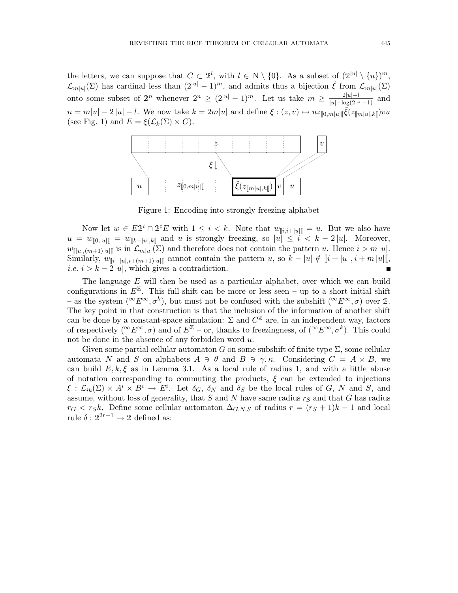the letters, we can suppose that  $C \subset 2^l$ , with  $l \in \mathbb{N} \setminus \{0\}$ . As a subset of  $(2^{|u|} \setminus \{u\})^m$ ,  $\mathcal{L}_{m|u|}(\Sigma)$  has cardinal less than  $(2^{|u|}-1)^m$ , and admits thus a bijection  $\tilde{\xi}$  from  $\mathcal{L}_{m|u|}(\Sigma)$ onto some subset of  $2^n$  whenever  $2^n \ge (2^{|u|} - 1)^m$ . Let us take  $m \ge \frac{2^{|u|} + l}{|u| - \log(2^{|u|} - 1)}$  and  $n = m|u| - 2|u| - l$ . We now take  $k = 2m|u|$  and define  $\xi : (z, v) \mapsto uz_{[\![ 0,m]\!] u[\![} \tilde{\xi}(z_{[\![m]\!] u],k[\![}) vu$ (see Fig. 1) and  $E = \xi(\mathcal{L}_k(\Sigma) \times C)$ .



Figure 1: Encoding into strongly freezing alphabet

Now let  $w \in E2^i \cap 2^iE$  with  $1 \leq i < k$ . Note that  $w_{\llbracket i,i+\llbracket u \rrbracket} = u$ . But we also have  $u = w_{\llbracket 0, |u|\llbracket} = w_{\llbracket k - |u|, k\llbracket}$  and u is strongly freezing, so  $|u| \leq i < k - 2 |u|$ . Moreover,  $w_{\llbracket |u|,(m+1)|u|\llbracket}$  is in  $\mathcal{L}_{m|u|}(\Sigma)$  and therefore does not contain the pattern u. Hence  $i > m |u|$ . Similarly,  $w_{\llbracket i + |u|, i + (m+1)|u|\llbracket}$  cannot contain the pattern u, so  $k - |u| \notin [i + |u|, i + m |u|\llbracket$ , *i.e.*  $i > k - 2 |u|$ , which gives a contradiction.  $\blacksquare$ 

The language E will then be used as a particular alphabet, over which we can build configurations in  $E^{\mathbb{Z}}$ . This full shift can be more or less seen – up to a short initial shift – as the system  $({}^{\infty}E^{\infty}, \sigma^k)$ , but must not be confused with the subshift  $({}^{\infty}E^{\infty}, \sigma)$  over 2. The key point in that construction is that the inclusion of the information of another shift can be done by a constant-space simulation:  $\Sigma$  and  $C^{\mathbb{Z}}$  are, in an independent way, factors of respectively  $({}^{\infty}E^{\infty}, \sigma)$  and of  $E^{\mathbb{Z}}$  – or, thanks to freezingness, of  $({}^{\infty}E^{\infty}, \sigma^k)$ . This could not be done in the absence of any forbidden word  $u$ .

Given some partial cellular automaton G on some subshift of finite type  $\Sigma$ , some cellular automata N and S on alphabets  $A \ni \theta$  and  $B \ni \gamma, \kappa$ . Considering  $C = A \times B$ , we can build  $E, k, \xi$  as in Lemma 3.1. As a local rule of radius 1, and with a little abuse of notation corresponding to commuting the products,  $\xi$  can be extended to injections  $\xi : \mathcal{L}_{ik}(\Sigma) \times A^i \times B^i \to E^i$ . Let  $\delta_G$ ,  $\delta_N$  and  $\delta_S$  be the local rules of G, N and S, and assume, without loss of generality, that  $S$  and  $N$  have same radius  $r_S$  and that  $G$  has radius  $r_G < r_S k$ . Define some cellular automaton  $\Delta_{G,N,S}$  of radius  $r = (r_S + 1)k - 1$  and local rule  $\delta: 2^{2r+1} \to 2$  defined as: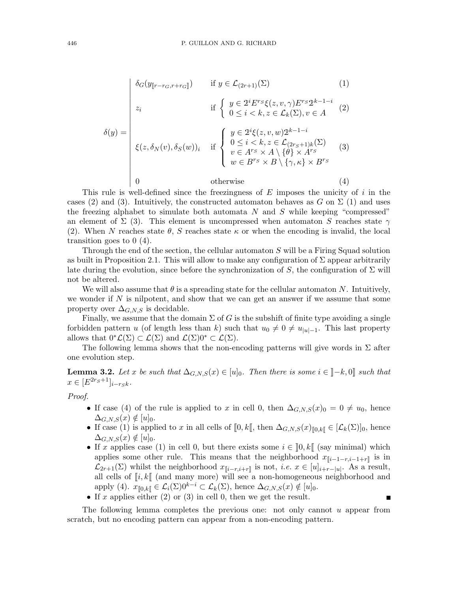$$
\delta_G(y_{\llbracket r-r_G, r+r_G \rrbracket}) \qquad \text{if } y \in \mathcal{L}_{(2r+1)}(\Sigma) \tag{1}
$$
\n
$$
z_i \qquad \text{if } \begin{cases} y \in 2^i E^{rs} \xi(z, v, \gamma) E^{rs} 2^{k-1-i} \\ 0 \le i < k, z \in \mathcal{L}_k(\Sigma), v \in A \end{cases} \tag{2}
$$

$$
\delta(y) = \begin{vmatrix}\n\delta(y) = \n\end{vmatrix} \xi(z, \delta_N(v), \delta_S(w))_i & \text{if } \begin{cases}\ny \in 2^i \xi(z, v, w) 2^{k-1-i} \\
0 \le i < k, z \in \mathcal{L}_{(2rs+1)k}(\Sigma) \\
v \in A^{rs} \times A \setminus \{\theta\} \times A^{rs} \\
w \in B^{rs} \times B \setminus \{\gamma, \kappa\} \times B^{rs}\n\end{cases} (3)
$$
\n
$$
0 & \text{otherwise} \tag{4}
$$

This rule is well-defined since the freezingness of  $E$  imposes the unicity of  $i$  in the cases (2) and (3). Intuitively, the constructed automaton behaves as G on  $\Sigma$  (1) and uses the freezing alphabet to simulate both automata  $N$  and  $S$  while keeping "compressed" an element of  $\Sigma$  (3). This element is uncompressed when automaton S reaches state  $\gamma$ (2). When N reaches state  $\theta$ , S reaches state  $\kappa$  or when the encoding is invalid, the local transition goes to 0 (4).

Through the end of the section, the cellular automaton S will be a Firing Squad solution as built in Proposition 2.1. This will allow to make any configuration of  $\Sigma$  appear arbitrarily late during the evolution, since before the synchronization of S, the configuration of  $\Sigma$  will not be altered.

We will also assume that  $\theta$  is a spreading state for the cellular automaton N. Intuitively, we wonder if  $N$  is nilpotent, and show that we can get an answer if we assume that some property over  $\Delta_{G,N,S}$  is decidable.

Finally, we assume that the domain  $\Sigma$  of G is the subshift of finite type avoiding a single forbidden pattern u (of length less than k) such that  $u_0 \neq 0 \neq u_{|u|-1}$ . This last property allows that  $0^*\mathcal{L}(\Sigma) \subset \mathcal{L}(\Sigma)$  and  $\mathcal{L}(\Sigma)0^* \subset \mathcal{L}(\Sigma)$ .

The following lemma shows that the non-encoding patterns will give words in  $\Sigma$  after one evolution step.

**Lemma 3.2.** Let x be such that  $\Delta_{G,N,S}(x) \in [u]_0$ . Then there is some  $i \in [-k,0]$  such that  $x \in [E^{2r_S+1}]_{i-rSK}.$ 

*Proof.*

- If case (4) of the rule is applied to x in cell 0, then  $\Delta_{G, N, S}(x)_0 = 0 \neq u_0$ , hence  $\Delta_{G,N,S}(x) \notin [u]_0.$
- If case (1) is applied to x in all cells of  $[0, k]$ , then  $\Delta_{G, N, S}(x)_{[0, k]} \in [\mathcal{L}_k(\Sigma)]_0$ , hence  $\Delta_{G.N.S}(x) \notin [u]_0.$
- If x applies case (1) in cell 0, but there exists some  $i \in [0, k]$  (say minimal) which applies some other rule. This means that the neighborhood  $x_{\llbracket i-1-r,i-1+r \rrbracket}$  is in  $\mathcal{L}_{2r+1}(\Sigma)$  whilst the neighborhood  $x_{\llbracket i-r,i+r \rrbracket}$  is not, *i.e.*  $x \in [u]_{i+r-|u|}$ . As a result, all cells of  $\llbracket i, k \rrbracket$  (and many more) will see a non-homogeneous neighborhood and apply (4).  $x_{\llbracket 0,k\rrbracket} \in \mathcal{L}_i(\Sigma) 0^{k-i} \subset \mathcal{L}_k(\Sigma)$ , hence  $\Delta_{G,N,S}(x) \notin [u]_0$ .

 $\blacksquare$ 

• If x applies either  $(2)$  or  $(3)$  in cell 0, then we get the result.

The following lemma completes the previous one: not only cannot  $u$  appear from scratch, but no encoding pattern can appear from a non-encoding pattern.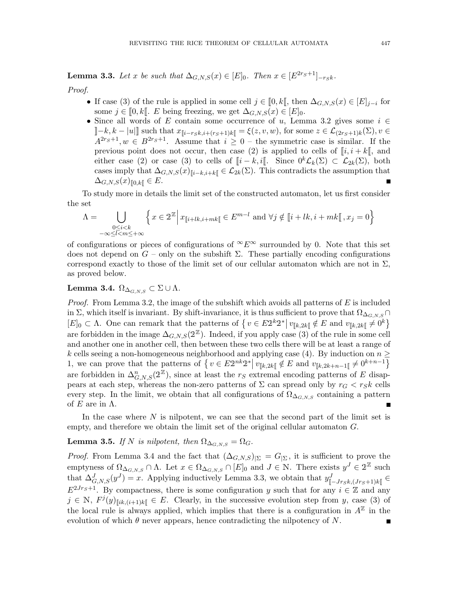**Lemma 3.3.** Let x be such that  $\Delta_{G,N,S}(x) \in [E]_0$ . Then  $x \in [E^{2r_S+1}]_{-r_Sk}$ .

*Proof.*

- If case (3) of the rule is applied in some cell  $j \in [0, k]$ , then  $\Delta_{G,N,S}(x) \in [E]_{j-i}$  for some  $j \in [0, k]$ . E being freezing, we get  $\Delta_{G,N,S}(x) \in [E]_0$ .
- Since all words of E contain some occurrence of u, Lemma 3.2 gives some  $i \in$  $\llbracket -k, k - |u| \rrbracket$  such that  $x_{\llbracket i-r_Sk, i+(r_S+1)k \rrbracket} = \xi(z, v, w)$ , for some  $z \in \mathcal{L}_{(2r_S+1)k}(\Sigma), v \in$  $A^{2r_S+1}, w \in B^{2r_S+1}$ . Assume that  $i \geq 0$  – the symmetric case is similar. If the previous point does not occur, then case (2) is applied to cells of  $\lbrack i, i + k \rbrack$ , and either case (2) or case (3) to cells of  $[i - k, i]$ . Since  $0^k \mathcal{L}_k(\Sigma) \subset \mathcal{L}_{2k}(\Sigma)$ , both cases imply that  $\Delta_{G,N,S}(x)_{\llbracket i-k,i+k \rrbracket} \in \mathcal{L}_{2k}(\Sigma)$ . This contradicts the assumption that  $\Delta_{G,N,S}(x)_{\llbracket 0,k\rrbracket} \in E.$

To study more in details the limit set of the constructed automaton, let us first consider the set

$$
\Lambda = \bigcup_{\substack{0 \le i < k \\ -\infty \le l < m \le +\infty}} \left\{ x \in 2^{\mathbb{Z}} \, \middle| \, x_{\llbracket i+lk, i+mk \rrbracket} \in E^{m-l} \text{ and } \forall j \notin \llbracket i+lk, i+mk \rrbracket, x_j = 0 \right\}
$$

of configurations or pieces of configurations of  $\infty E^{\infty}$  surrounded by 0. Note that this set does not depend on  $G$  – only on the subshift  $\Sigma$ . These partially encoding configurations correspond exactly to those of the limit set of our cellular automaton which are not in  $\Sigma$ , as proved below.

# Lemma 3.4.  $\Omega_{\Delta_{GNS}} \subset \Sigma \cup \Lambda$ .

*Proof.* From Lemma 3.2, the image of the subshift which avoids all patterns of E is included in Σ, which itself is invariant. By shift-invariance, it is thus sufficient to prove that  $\Omega_{\Delta_{G,N,S}} \cap$  $[E]_0 \subset \Lambda$ . One can remark that the patterns of  $\{v \in E2^k 2^* | v_{\llbracket k, 2k \rrbracket} \notin E \text{ and } v_{\llbracket k, 2k \rrbracket} \neq 0^k \}$ are forbidden in the image  $\Delta_{G,N,S}(2^{\mathbb{Z}})$ . Indeed, if you apply case (3) of the rule in some cell and another one in another cell, then between these two cells there will be at least a range of k cells seeing a non-homogeneous neighborhood and applying case (4). By induction on  $n \geq$ 1, we can prove that the patterns of  $\{v \in E2^{nk}2^* | v_{\llbracket k,2k \rrbracket} \notin E \text{ and } v_{\llbracket k,2k+n-1 \rrbracket} \neq 0^{k+n-1}\}$ are forbidden in  $\Delta_{G,N,S}^n(2^{\mathbb{Z}})$ , since at least the  $r_S$  extremal encoding patterns of E disappears at each step, whereas the non-zero patterns of  $\Sigma$  can spread only by  $r_G < r_S k$  cells every step. In the limit, we obtain that all configurations of  $\Omega_{\Delta_{G,N,S}}$  containing a pattern of  $E$  are in  $\Lambda$ .

In the case where  $N$  is nilpotent, we can see that the second part of the limit set is empty, and therefore we obtain the limit set of the original cellular automaton G.

# **Lemma 3.5.** *If* N *is nilpotent, then*  $\Omega_{\Delta_{G.N.S}} = \Omega_G$ .

*Proof.* From Lemma 3.4 and the fact that  $(\Delta_{G,N,S})_{\vert\Sigma} = G_{\vert\Sigma}$ , it is sufficient to prove the emptyness of  $\Omega_{\Delta_{G,N,S}} \cap \Lambda$ . Let  $x \in \Omega_{\Delta_{G,N,S}} \cap [E]_0$  and  $J \in \mathbb{N}$ . There exists  $y^J \in 2^{\mathbb{Z}}$  such that  $\Delta_{G,N,S}^J(y^J) = x$ . Applying inductively Lemma 3.3, we obtain that  $y_{\llbracket -J_{TS}k, (J_{TS}+1)k \rrbracket}^J \in$  $E^{2Jr_S+1}$ . By compactness, there is some configuration y such that for any  $i \in \mathbb{Z}$  and any  $j \in \mathbb{N}, F^{j}(y)_{\Vert ik,(i+1)k\Vert} \in E.$  Clearly, in the successive evolution step from y, case (3) of the local rule is always applied, which implies that there is a configuration in  $A^{\mathbb{Z}}$  in the evolution of which  $\theta$  never appears, hence contradicting the nilpotency of N.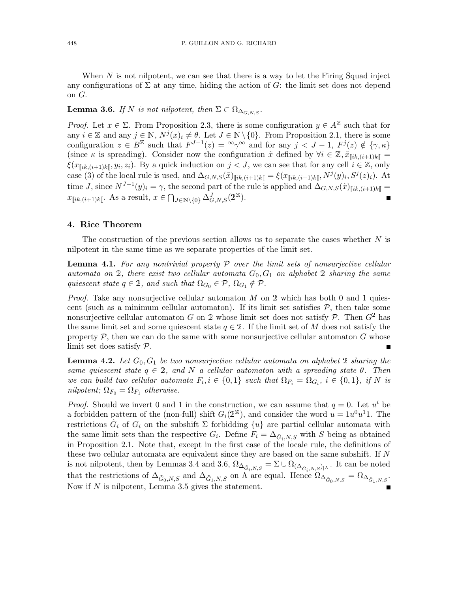When  $N$  is not nilpotent, we can see that there is a way to let the Firing Squad inject any configurations of  $\Sigma$  at any time, hiding the action of G: the limit set does not depend on G.

**Lemma 3.6.** *If* N *is not nilpotent, then*  $\Sigma \subset \Omega_{\Delta_{G.N.S}}$ .

*Proof.* Let  $x \in \Sigma$ . From Proposition 2.3, there is some configuration  $y \in A^{\mathbb{Z}}$  such that for any  $i \in \mathbb{Z}$  and any  $j \in \mathbb{N}$ ,  $N^j(x)_i \neq \theta$ . Let  $J \in \mathbb{N} \setminus \{0\}$ . From Proposition 2.1, there is some configuration  $z \in B^{\mathbb{Z}}$  such that  $F^{J-1}(z) = \infty_{\gamma} \infty$  and for any  $j < J - 1$ ,  $F^{j}(z) \notin {\gamma, \kappa}$ (since  $\kappa$  is spreading). Consider now the configuration  $\tilde{x}$  defined by  $\forall i \in \mathbb{Z}, \tilde{x}_{\lceil i k,(i+1)k \rceil} =$  $\xi(x_{\llbracket ik,(i+1)k\rrbracket},y_i,z_i)$ . By a quick induction on  $j < J$ , we can see that for any cell  $i \in \mathbb{Z}$ , only case (3) of the local rule is used, and  $\Delta_{G,N,S}(\tilde{x})_{\llbracket ik,(i+1)k\rrbracket} = \xi(x_{\llbracket ik,(i+1)k\rrbracket}, N^j(y)_i, S^j(z)_i)$ . At time J, since  $N^{J-1}(y)_i = \gamma$ , the second part of the rule is applied and  $\Delta_{G,N,S}(\tilde{x})_{\llbracket ik,(i+1)k\rrbracket} =$  $x_{\llbracket ik,(i+1)k \rrbracket}$ . As a result,  $x \in \bigcap_{J \in \mathbb{N} \setminus \{0\}} \Delta^J_{G,N,S}(2^{\mathbb{Z}})$ .  $\blacksquare$ 

#### 4. Rice Theorem

The construction of the previous section allows us to separate the cases whether  $N$  is nilpotent in the same time as we separate properties of the limit set.

Lemma 4.1. *For any nontrivial property* P *over the limit sets of nonsurjective cellular automata on* 2*, there exist two cellular automata*  $G_0, G_1$  *on alphabet* 2 *sharing the same quiescent state*  $q \in 2$ *, and such that*  $\Omega_{G_0} \in \mathcal{P}, \Omega_{G_1} \notin \mathcal{P}$ *.* 

*Proof.* Take any nonsurjective cellular automaton M on 2 which has both 0 and 1 quiescent (such as a minimum cellular automaton). If its limit set satisfies  $P$ , then take some nonsurjective cellular automaton G on 2 whose limit set does not satisfy P. Then  $G^2$  has the same limit set and some quiescent state  $q \in 2$ . If the limit set of M does not satisfy the property  $P$ , then we can do the same with some nonsurjective cellular automaton  $G$  whose limit set does satisfy P. П

**Lemma 4.2.** Let  $G_0, G_1$  be two nonsurjective cellular automata on alphabet 2 sharing the *same quiescent state*  $q \in 2$ *, and* N *a cellular automaton with* a spreading state  $\theta$ *. Then we can build two cellular automata*  $F_i, i \in \{0,1\}$  *such that*  $\Omega_{F_i} = \Omega_{G_i}, i \in \{0,1\},$  *if* N *is nilpotent;*  $\Omega_{F_0} = \Omega_{F_1}$  *otherwise.* 

*Proof.* Should we invert 0 and 1 in the construction, we can assume that  $q = 0$ . Let  $u^i$  be a forbidden pattern of the (non-full) shift  $G_i(2^{\mathbb{Z}})$ , and consider the word  $u = 1u^0u^11$ . The restrictions  $\tilde{G}_i$  of  $G_i$  on the subshift  $\Sigma$  forbidding  $\{u\}$  are partial cellular automata with the same limit sets than the respective  $G_i$ . Define  $F_i = \Delta_{\tilde{G}_i, N, S}$  with S being as obtained in Proposition 2.1. Note that, except in the first case of the locale rule, the definitions of these two cellular automata are equivalent since they are based on the same subshift. If N is not nilpotent, then by Lemmas 3.4 and 3.6,  $\Omega_{\Delta_{\tilde{G}_i,N,S}} = \Sigma \cup \Omega_{(\Delta_{\tilde{G}_i,N,S})|\Lambda}$ . It can be noted that the restrictions of  $\Delta_{\tilde{G}_0, N, S}$  and  $\Delta_{\tilde{G}_1, N, S}$  on  $\Lambda$  are equal. Hence  $\Omega_{\Delta_{\tilde{G}_0, N, S}} = \Omega_{\Delta_{\tilde{G}_1, N, S}}$ . Now if  $N$  is nilpotent, Lemma 3.5 gives the statement.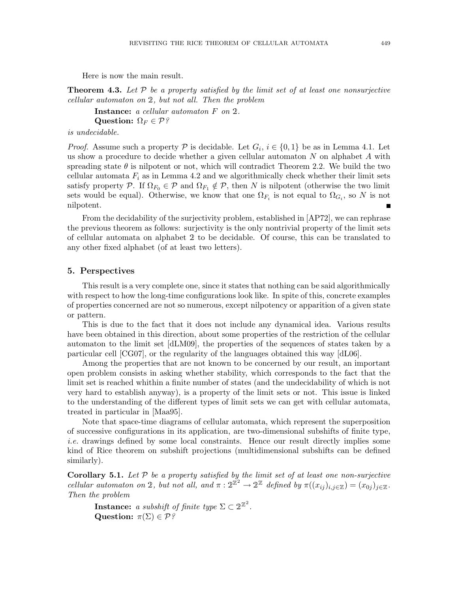Here is now the main result.

Theorem 4.3. *Let* P *be a property satisfied by the limit set of at least one nonsurjective cellular automaton on* <sup>2</sup>*, but not all. Then the problem*

Instance: *a cellular automaton* F *on* <sup>2</sup>*.* Question:  $\Omega_F \in \mathcal{P}$ ?

*is undecidable.*

*Proof.* Assume such a property  $P$  is decidable. Let  $G_i$ ,  $i \in \{0,1\}$  be as in Lemma 4.1. Let us show a procedure to decide whether a given cellular automaton  $N$  on alphabet  $A$  with spreading state  $\theta$  is nilpotent or not, which will contradict Theorem 2.2. We build the two cellular automata  $F_i$  as in Lemma 4.2 and we algorithmically check whether their limit sets satisfy property P. If  $\Omega_{F_0} \in \mathcal{P}$  and  $\Omega_{F_1} \notin \mathcal{P}$ , then N is nilpotent (otherwise the two limit sets would be equal). Otherwise, we know that one  $\Omega_{F_i}$  is not equal to  $\Omega_{G_i}$ , so N is not nilpotent.

From the decidability of the surjectivity problem, established in [AP72], we can rephrase the previous theorem as follows: surjectivity is the only nontrivial property of the limit sets of cellular automata on alphabet <sup>2</sup> to be decidable. Of course, this can be translated to any other fixed alphabet (of at least two letters).

#### 5. Perspectives

This result is a very complete one, since it states that nothing can be said algorithmically with respect to how the long-time configurations look like. In spite of this, concrete examples of properties concerned are not so numerous, except nilpotency or apparition of a given state or pattern.

This is due to the fact that it does not include any dynamical idea. Various results have been obtained in this direction, about some properties of the restriction of the cellular automaton to the limit set [dLM09], the properties of the sequences of states taken by a particular cell [CG07], or the regularity of the languages obtained this way [dL06].

Among the properties that are not known to be concerned by our result, an important open problem consists in asking whether stability, which corresponds to the fact that the limit set is reached whithin a finite number of states (and the undecidability of which is not very hard to establish anyway), is a property of the limit sets or not. This issue is linked to the understanding of the different types of limit sets we can get with cellular automata, treated in particular in [Maa95].

Note that space-time diagrams of cellular automata, which represent the superposition of successive configurations in its application, are two-dimensional subshifts of finite type, *i.e.* drawings defined by some local constraints. Hence our result directly implies some kind of Rice theorem on subshift projections (multidimensional subshifts can be defined similarly).

**Corollary 5.1.** Let  $P$  be a property satisfied by the limit set of at least one non-surjective *cellular automaton on* 2, but not all, and  $\pi : 2^{\mathbb{Z}^2} \to 2^{\mathbb{Z}}$  defined by  $\pi((x_{ij})_{i,j\in\mathbb{Z}}) = (x_{0j})_{j\in\mathbb{Z}}$ . *Then the problem*

**Instance:** *a subshift of finite type*  $\Sigma \subset 2^{\mathbb{Z}^2}$ . Question:  $\pi(\Sigma) \in \mathcal{P}$ ?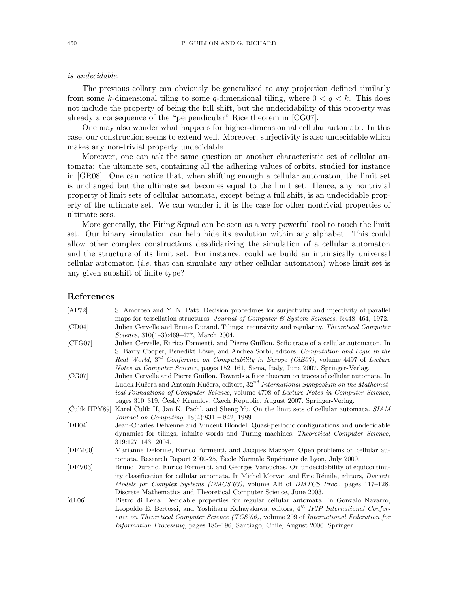#### *is undecidable.*

The previous collary can obviously be generalized to any projection defined similarly from some k-dimensional tiling to some q-dimensional tiling, where  $0 < q < k$ . This does not include the property of being the full shift, but the undecidability of this property was already a consequence of the "perpendicular" Rice theorem in [CG07].

One may also wonder what happens for higher-dimensionnal cellular automata. In this case, our construction seems to extend well. Moreover, surjectivity is also undecidable which makes any non-trivial property undecidable.

Moreover, one can ask the same question on another characteristic set of cellular automata: the ultimate set, containing all the adhering values of orbits, studied for instance in [GR08]. One can notice that, when shifting enough a cellular automaton, the limit set is unchanged but the ultimate set becomes equal to the limit set. Hence, any nontrivial property of limit sets of cellular automata, except being a full shift, is an undecidable property of the ultimate set. We can wonder if it is the case for other nontrivial properties of ultimate sets.

More generally, the Firing Squad can be seen as a very powerful tool to touch the limit set. Our binary simulation can help hide its evolution within any alphabet. This could allow other complex constructions desolidarizing the simulation of a cellular automaton and the structure of its limit set. For instance, could we build an intrinsically universal cellular automaton (*i.e.* that can simulate any other cellular automaton) whose limit set is any given subshift of finite type?

### References

| [AP72]         | S. Amoroso and Y. N. Patt. Decision procedures for surjectivity and injectivity of parallel         |
|----------------|-----------------------------------------------------------------------------------------------------|
|                | maps for tessellation structures. Journal of Computer & System Sciences, 6:448-464, 1972.           |
| [CD04]         | Julien Cervelle and Bruno Durand. Tilings: recursivity and regularity. Theoretical Computer         |
|                | <i>Science</i> , $310(1-3):469-477$ , March 2004.                                                   |
| [CFG07]        | Julien Cervelle, Enrico Formenti, and Pierre Guillon. Sofic trace of a cellular automaton. In       |
|                | S. Barry Cooper, Benedikt Löwe, and Andrea Sorbi, editors, Computation and Logic in the             |
|                | Real World, $3^{rd}$ Conference on Computability in Europe (CiE07), volume 4497 of Lecture          |
|                | <i>Notes in Computer Science</i> , pages 152–161, Siena, Italy, June 2007. Springer-Verlag.         |
| [CG07]         | Julien Cervelle and Pierre Guillon. Towards a Rice theorem on traces of cellular automata. In       |
|                | Ludek Kučera and Antonín Kučera, editors, 32 <sup>nd</sup> International Symposium on the Mathemat- |
|                | ical Foundations of Computer Science, volume 4708 of Lecture Notes in Computer Science,             |
|                | pages 310–319, Ceský Krumlov, Czech Republic, August 2007. Springer-Verlag.                         |
| [Čulík IIPY89] | Karel Culík II, Jan K. Pachl, and Sheng Yu. On the limit sets of cellular automata. SIAM            |
|                | Journal on Computing, $18(4):831 - 842$ , 1989.                                                     |
| [DB04]         | Jean-Charles Delvenne and Vincent Blondel. Quasi-periodic configurations and undecidable            |
|                | dynamics for tilings, infinite words and Turing machines. Theoretical Computer Science,             |
|                | 319:127–143, 2004.                                                                                  |
| [DFM00]        | Marianne Delorme, Enrico Formenti, and Jacques Mazoyer. Open problems on cellular au-               |
|                | tomata. Research Report 2000-25, École Normale Supérieure de Lyon, July 2000.                       |
| [DFV03]        | Bruno Durand, Enrico Formenti, and Georges Varouchas. On undecidability of equicontinu-             |
|                | ity classification for cellular automata. In Michel Morvan and Éric Rémila, editors, Discrete       |
|                | Models for Complex Systems (DMCS'03), volume AB of DMTCS Proc., pages 117-128.                      |
|                | Discrete Mathematics and Theoretical Computer Science, June 2003.                                   |
| [dL06]         | Pietro di Lena. Decidable properties for regular cellular automata. In Gonzalo Navarro,             |
|                | Leopoldo E. Bertossi, and Yoshiharu Kohayakawa, editors, 4 <sup>th</sup> IFIP International Confer- |
|                | ence on Theoretical Computer Science (TCS'06), volume 209 of International Federation for           |
|                | <i>Information Processing</i> , pages 185–196, Santiago, Chile, August 2006. Springer.              |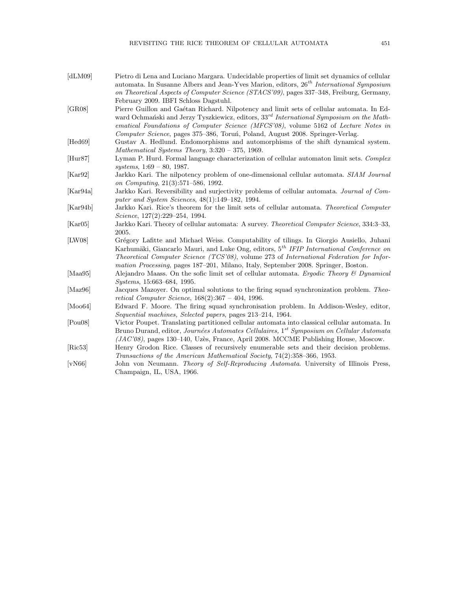| [dLM09]               | Pietro di Lena and Luciano Margara. Undecidable properties of limit set dynamics of cellular<br>automata. In Susanne Albers and Jean-Yves Marion, editors, $26th International Symposium$<br>on Theoretical Aspects of Computer Science (STACS'09), pages 337-348, Freiburg, Germany,                                                                                             |
|-----------------------|-----------------------------------------------------------------------------------------------------------------------------------------------------------------------------------------------------------------------------------------------------------------------------------------------------------------------------------------------------------------------------------|
|                       | February 2009. IBFI Schloss Dagstuhl.                                                                                                                                                                                                                                                                                                                                             |
| [GR08]                | Pierre Guillon and Gaétan Richard. Nilpotency and limit sets of cellular automata. In Ed-<br>ward Ochmański and Jerzy Tyszkiewicz, editors, $33^{rd}$ International Symposium on the Math-<br>ematical Foundations of Computer Science (MFCS'08), volume 5162 of Lecture Notes in<br>Computer Science, pages 375–386, Toruń, Poland, August 2008. Springer-Verlag.                |
| [Hed69]               | Gustav A. Hedlund. Endomorphisms and automorphisms of the shift dynamical system.<br>Mathematical Systems Theory, $3:320 - 375$ , 1969.                                                                                                                                                                                                                                           |
| [Hur87]               | Lyman P. Hurd. Formal language characterization of cellular automaton limit sets. Complex<br>systems, $1:69 - 80$ , 1987.                                                                                                                                                                                                                                                         |
| [Kar92]               | Jarkko Kari. The nilpotency problem of one-dimensional cellular automata. SIAM Journal<br>on Computing, 21(3):571-586, 1992.                                                                                                                                                                                                                                                      |
| [Kar94a]              | Jarkko Kari. Reversibility and surjectivity problems of cellular automata. Journal of Com-<br>puter and System Sciences, $48(1):149-182$ , 1994.                                                                                                                                                                                                                                  |
| [Kar94b]              | Jarkko Kari. Rice's theorem for the limit sets of cellular automata. Theoretical Computer<br>Science, $127(2):229-254$ , 1994.                                                                                                                                                                                                                                                    |
| [Kar05]               | Jarkko Kari. Theory of cellular automata: A survey. Theoretical Computer Science, 334:3-33,<br>2005.                                                                                                                                                                                                                                                                              |
| [LW08]                | Grégory Lafitte and Michael Weiss. Computability of tilings. In Giorgio Ausiello, Juhani<br>Karhumäki, Giancarlo Mauri, and Luke Ong, editors, 5 <sup>th</sup> IFIP International Conference on<br>Theoretical Computer Science (TCS'08), volume 273 of International Federation for Infor-<br>mation Processing, pages 187–201, Milano, Italy, September 2008. Springer, Boston. |
| [Maa95]               | Alejandro Maass. On the sofic limit set of cellular automata. Ergodic Theory & Dynamical<br><i>Systems</i> , 15:663-684, 1995.                                                                                                                                                                                                                                                    |
| [Maz $96$ ]           | Jacques Mazoyer. On optimal solutions to the firing squad synchronization problem. Theo-<br><i>retical Computer Science</i> , $168(2):367 - 404$ , 1996.                                                                                                                                                                                                                          |
| [Mo <sub>064]</sub> ] | Edward F. Moore. The firing squad synchronisation problem. In Addison-Wesley, editor,<br>Sequential machines, Selected papers, pages 213–214, 1964.                                                                                                                                                                                                                               |
| [Pou08]               | Victor Poupet. Translating partitioned cellular automata into classical cellular automata. In<br>Bruno Durand, editor, Journées Automates Cellulaires, 1 <sup>st</sup> Symposium on Cellular Automata<br>$(JAC'08)$ , pages 130–140, Uzès, France, April 2008. MCCME Publishing House, Moscow.                                                                                    |
| [Ric53]               | Henry Grodon Rice. Classes of recursively enumerable sets and their decision problems.<br>Transactions of the American Mathematical Society, 74(2):358-366, 1953.                                                                                                                                                                                                                 |
| [vN66]                | John von Neumann. Theory of Self-Reproducing Automata. University of Illinois Press,<br>Champaign, IL, USA, 1966.                                                                                                                                                                                                                                                                 |